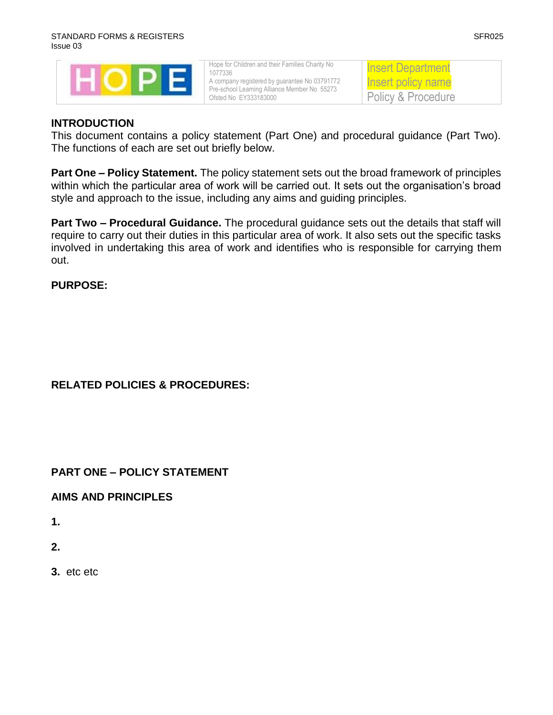| Hope for Children and their Families Charity No |
|-------------------------------------------------|
| 1077336                                         |
| A company registered by guarantee No 03791772   |
| Pre-school Learning Alliance Member No 55273    |
| Ofsted No EY333183000                           |

### Insert Department Insert policy name Policy & Procedure

#### **INTRODUCTION**

This document contains a policy statement (Part One) and procedural guidance (Part Two). The functions of each are set out briefly below.

**Part One – Policy Statement.** The policy statement sets out the broad framework of principles within which the particular area of work will be carried out. It sets out the organisation's broad style and approach to the issue, including any aims and guiding principles.

**Part Two – Procedural Guidance.** The procedural guidance sets out the details that staff will require to carry out their duties in this particular area of work. It also sets out the specific tasks involved in undertaking this area of work and identifies who is responsible for carrying them out.

#### **PURPOSE:**

# **RELATED POLICIES & PROCEDURES:**

# **PART ONE – POLICY STATEMENT**

#### **AIMS AND PRINCIPLES**

**1.**

- **2.**
- **3.** etc etc